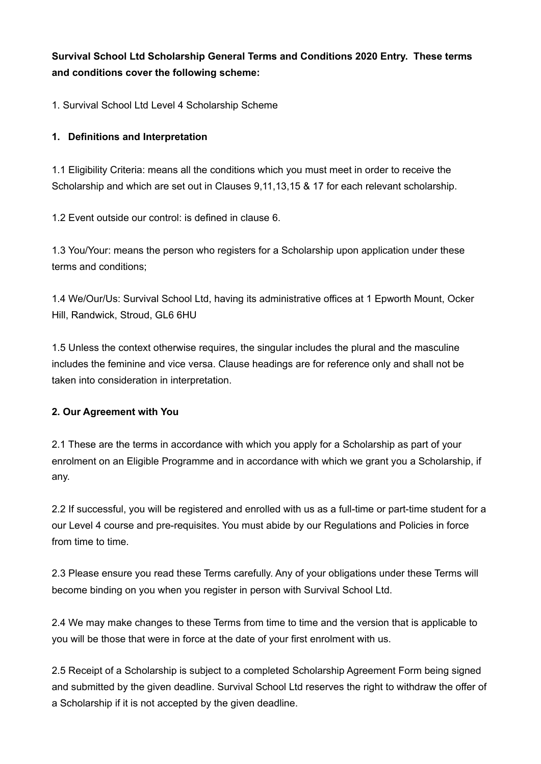**Survival School Ltd Scholarship General Terms and Conditions 2020 Entry. These terms and conditions cover the following scheme:** 

1. Survival School Ltd Level 4 Scholarship Scheme

#### **1. Definitions and Interpretation**

1.1 Eligibility Criteria: means all the conditions which you must meet in order to receive the Scholarship and which are set out in Clauses 9,11,13,15 & 17 for each relevant scholarship.

1.2 Event outside our control: is defined in clause 6.

1.3 You/Your: means the person who registers for a Scholarship upon application under these terms and conditions;

1.4 We/Our/Us: Survival School Ltd, having its administrative offices at 1 Epworth Mount, Ocker Hill, Randwick, Stroud, GL6 6HU

1.5 Unless the context otherwise requires, the singular includes the plural and the masculine includes the feminine and vice versa. Clause headings are for reference only and shall not be taken into consideration in interpretation.

#### **2. Our Agreement with You**

2.1 These are the terms in accordance with which you apply for a Scholarship as part of your enrolment on an Eligible Programme and in accordance with which we grant you a Scholarship, if any.

2.2 If successful, you will be registered and enrolled with us as a full-time or part-time student for a our Level 4 course and pre-requisites. You must abide by our Regulations and Policies in force from time to time.

2.3 Please ensure you read these Terms carefully. Any of your obligations under these Terms will become binding on you when you register in person with Survival School Ltd.

2.4 We may make changes to these Terms from time to time and the version that is applicable to you will be those that were in force at the date of your first enrolment with us.

2.5 Receipt of a Scholarship is subject to a completed Scholarship Agreement Form being signed and submitted by the given deadline. Survival School Ltd reserves the right to withdraw the offer of a Scholarship if it is not accepted by the given deadline.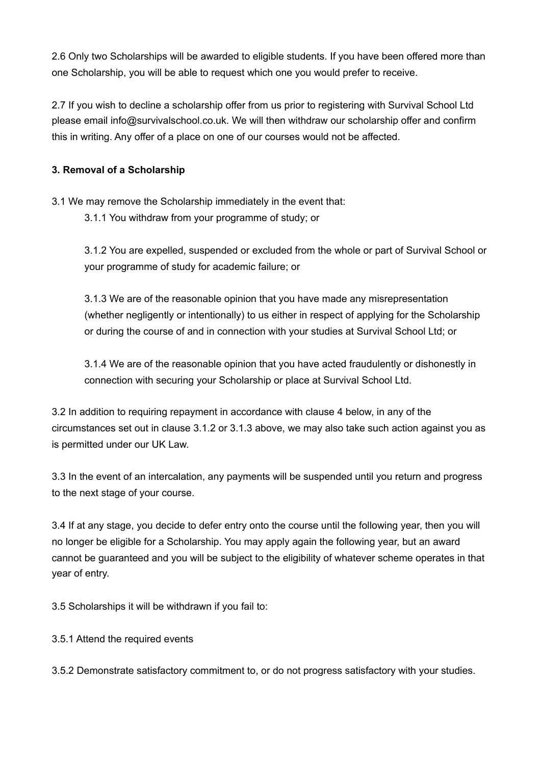2.6 Only two Scholarships will be awarded to eligible students. If you have been offered more than one Scholarship, you will be able to request which one you would prefer to receive.

2.7 If you wish to decline a scholarship offer from us prior to registering with Survival School Ltd please email info@survivalschool.co.uk. We will then withdraw our scholarship offer and confirm this in writing. Any offer of a place on one of our courses would not be affected.

## **3. Removal of a Scholarship**

3.1 We may remove the Scholarship immediately in the event that:

3.1.1 You withdraw from your programme of study; or

3.1.2 You are expelled, suspended or excluded from the whole or part of Survival School or your programme of study for academic failure; or

3.1.3 We are of the reasonable opinion that you have made any misrepresentation (whether negligently or intentionally) to us either in respect of applying for the Scholarship or during the course of and in connection with your studies at Survival School Ltd; or

3.1.4 We are of the reasonable opinion that you have acted fraudulently or dishonestly in connection with securing your Scholarship or place at Survival School Ltd.

3.2 In addition to requiring repayment in accordance with clause 4 below, in any of the circumstances set out in clause 3.1.2 or 3.1.3 above, we may also take such action against you as is permitted under our UK Law.

3.3 In the event of an intercalation, any payments will be suspended until you return and progress to the next stage of your course.

3.4 If at any stage, you decide to defer entry onto the course until the following year, then you will no longer be eligible for a Scholarship. You may apply again the following year, but an award cannot be guaranteed and you will be subject to the eligibility of whatever scheme operates in that year of entry.

3.5 Scholarships it will be withdrawn if you fail to:

3.5.1 Attend the required events

3.5.2 Demonstrate satisfactory commitment to, or do not progress satisfactory with your studies.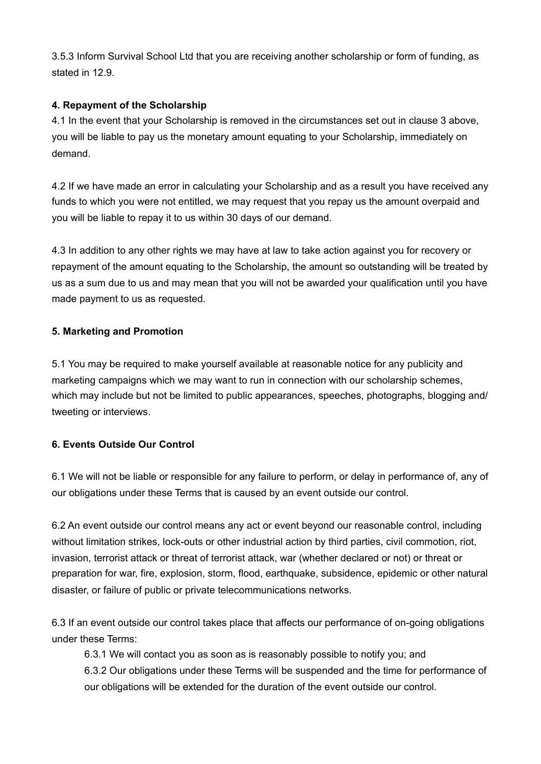3.5.3 Inform Survival School Ltd that you are receiving another scholarship or form of funding, as stated in 12.9.

## **4. Repayment of the Scholarship**

4.1 In the event that your Scholarship is removed in the circumstances set out in clause 3 above, you will be liable to pay us the monetary amount equating to your Scholarship, immediately on demand.

4.2 If we have made an error in calculating your Scholarship and as a result you have received any funds to which you were not entitled, we may request that you repay us the amount overpaid and you will be liable to repay it to us within 30 days of our demand.

4.3 In addition to any other rights we may have at law to take action against you for recovery or repayment of the amount equating to the Scholarship, the amount so outstanding will be treated by us as a sum due to us and may mean that you will not be awarded your qualification until you have made payment to us as requested.

#### **5. Marketing and Promotion**

5.1 You may be required to make yourself available at reasonable notice for any publicity and marketing campaigns which we may want to run in connection with our scholarship schemes, which may include but not be limited to public appearances, speeches, photographs, blogging and/ tweeting or interviews.

# **6. Events Outside Our Control**

6.1 We will not be liable or responsible for any failure to perform, or delay in performance of, any of our obligations under these Terms that is caused by an event outside our control.

6.2 An event outside our control means any act or event beyond our reasonable control, including without limitation strikes, lock-outs or other industrial action by third parties, civil commotion, riot, invasion, terrorist attack or threat of terrorist attack, war (whether declared or not) or threat or preparation for war, fire, explosion, storm, flood, earthquake, subsidence, epidemic or other natural disaster, or failure of public or private telecommunications networks.

6.3 If an event outside our control takes place that affects our performance of on-going obligations under these Terms:

6.3.1 We will contact you as soon as is reasonably possible to notify you; and

6.3.2 Our obligations under these Terms will be suspended and the time for performance of our obligations will be extended for the duration of the event outside our control.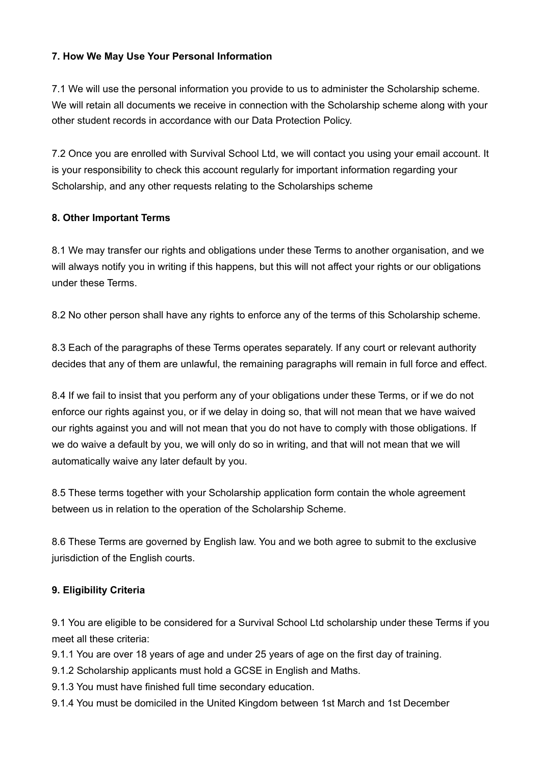#### **7. How We May Use Your Personal Information**

7.1 We will use the personal information you provide to us to administer the Scholarship scheme. We will retain all documents we receive in connection with the Scholarship scheme along with your other student records in accordance with our Data Protection Policy.

7.2 Once you are enrolled with Survival School Ltd, we will contact you using your email account. It is your responsibility to check this account regularly for important information regarding your Scholarship, and any other requests relating to the Scholarships scheme

#### **8. Other Important Terms**

8.1 We may transfer our rights and obligations under these Terms to another organisation, and we will always notify you in writing if this happens, but this will not affect your rights or our obligations under these Terms.

8.2 No other person shall have any rights to enforce any of the terms of this Scholarship scheme.

8.3 Each of the paragraphs of these Terms operates separately. If any court or relevant authority decides that any of them are unlawful, the remaining paragraphs will remain in full force and effect.

8.4 If we fail to insist that you perform any of your obligations under these Terms, or if we do not enforce our rights against you, or if we delay in doing so, that will not mean that we have waived our rights against you and will not mean that you do not have to comply with those obligations. If we do waive a default by you, we will only do so in writing, and that will not mean that we will automatically waive any later default by you.

8.5 These terms together with your Scholarship application form contain the whole agreement between us in relation to the operation of the Scholarship Scheme.

8.6 These Terms are governed by English law. You and we both agree to submit to the exclusive jurisdiction of the English courts.

# **9. Eligibility Criteria**

9.1 You are eligible to be considered for a Survival School Ltd scholarship under these Terms if you meet all these criteria:

9.1.1 You are over 18 years of age and under 25 years of age on the first day of training.

- 9.1.2 Scholarship applicants must hold a GCSE in English and Maths.
- 9.1.3 You must have finished full time secondary education.
- 9.1.4 You must be domiciled in the United Kingdom between 1st March and 1st December